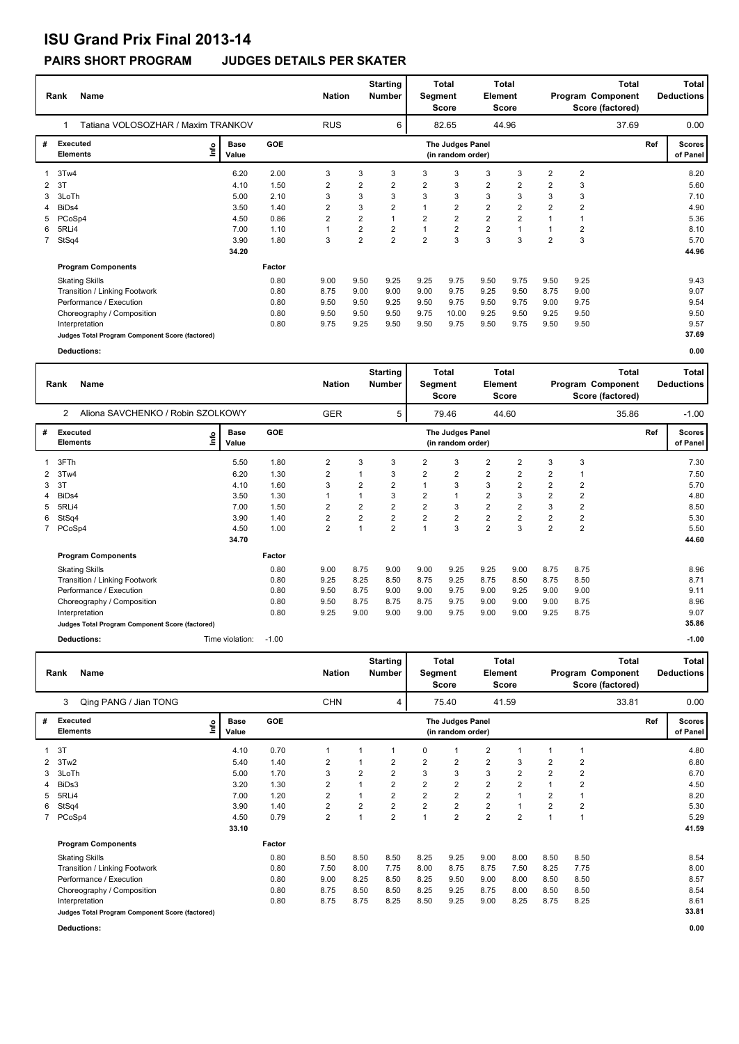## **ISU Grand Prix Final 2013-14**

## **PAIRS SHORT PROGRAM JUDGES DETAILS PER SKATER**

|             | <b>Name</b><br>Rank                             |                              | <b>Starting</b><br>Total<br><b>Nation</b><br><b>Number</b><br>Segment<br><b>Score</b> |                |                |                | Element        | Total<br><b>Score</b>                 | <b>Total</b><br>Program Component<br>Score (factored) |                |                |                | Total<br><b>Deductions</b> |     |                           |  |
|-------------|-------------------------------------------------|------------------------------|---------------------------------------------------------------------------------------|----------------|----------------|----------------|----------------|---------------------------------------|-------------------------------------------------------|----------------|----------------|----------------|----------------------------|-----|---------------------------|--|
|             | Tatiana VOLOSOZHAR / Maxim TRANKOV              |                              |                                                                                       | <b>RUS</b>     | 6              |                | 82.65          |                                       | 44.96                                                 |                |                |                | 37.69                      |     | 0.00                      |  |
| #           | <b>Executed</b><br><b>Elements</b>              | <b>Base</b><br>١nf٥<br>Value | GOE                                                                                   |                |                |                |                | The Judges Panel<br>(in random order) |                                                       |                |                |                |                            | Ref | <b>Scores</b><br>of Panel |  |
|             | 3Tw4                                            | 6.20                         | 2.00                                                                                  | 3              | 3              | 3              | 3              | 3                                     | 3                                                     | 3              | $\overline{2}$ | $\overline{2}$ |                            |     | 8.20                      |  |
| 2           | - 3T                                            | 4.10                         | 1.50                                                                                  | 2              | $\overline{2}$ | $\overline{2}$ | $\overline{2}$ | 3                                     | $\overline{2}$                                        | 2              | 2              | 3              |                            |     | 5.60                      |  |
| 3           | 3LoTh                                           | 5.00                         | 2.10                                                                                  | 3              | 3              | 3              | 3              | 3                                     | 3                                                     | 3              | 3              | 3              |                            |     | 7.10                      |  |
| 4           | BiD <sub>s4</sub>                               | 3.50                         | 1.40                                                                                  | $\overline{2}$ | 3              | $\overline{2}$ |                | $\overline{2}$                        | $\overline{2}$                                        | $\overline{2}$ | $\overline{2}$ | $\overline{2}$ |                            |     | 4.90                      |  |
| 5.          | PCoSp4                                          | 4.50                         | 0.86                                                                                  | 2              | $\overline{2}$ | $\mathbf{1}$   | $\overline{2}$ | $\overline{2}$                        | $\overline{2}$                                        | $\overline{2}$ |                | 1              |                            |     | 5.36                      |  |
| 6           | 5RLi4                                           | 7.00                         | 1.10                                                                                  |                | 2              | $\overline{2}$ |                | $\overline{2}$                        | $\overline{2}$                                        | 1              |                | 2              |                            |     | 8.10                      |  |
| $7^{\circ}$ | StSq4                                           | 3.90                         | 1.80                                                                                  | 3              | $\overline{2}$ | $\overline{2}$ | $\overline{2}$ | 3                                     | 3                                                     | 3              | $\overline{2}$ | 3              |                            |     | 5.70                      |  |
|             |                                                 | 34.20                        |                                                                                       |                |                |                |                |                                       |                                                       |                |                |                |                            |     | 44.96                     |  |
|             | <b>Program Components</b>                       |                              | Factor                                                                                |                |                |                |                |                                       |                                                       |                |                |                |                            |     |                           |  |
|             | <b>Skating Skills</b>                           |                              | 0.80                                                                                  | 9.00           | 9.50           | 9.25           | 9.25           | 9.75                                  | 9.50                                                  | 9.75           | 9.50           | 9.25           |                            |     | 9.43                      |  |
|             | Transition / Linking Footwork                   |                              | 0.80                                                                                  | 8.75           | 9.00           | 9.00           | 9.00           | 9.75                                  | 9.25                                                  | 9.50           | 8.75           | 9.00           |                            |     | 9.07                      |  |
|             | Performance / Execution                         |                              | 0.80                                                                                  | 9.50           | 9.50           | 9.25           | 9.50           | 9.75                                  | 9.50                                                  | 9.75           | 9.00           | 9.75           |                            |     | 9.54                      |  |
|             | Choreography / Composition                      |                              | 0.80                                                                                  | 9.50           | 9.50           | 9.50           | 9.75           | 10.00                                 | 9.25                                                  | 9.50           | 9.25           | 9.50           |                            |     | 9.50                      |  |
|             | Interpretation                                  |                              | 0.80                                                                                  | 9.75           | 9.25           | 9.50           | 9.50           | 9.75                                  | 9.50                                                  | 9.75           | 9.50           | 9.50           |                            |     | 9.57                      |  |
|             | Judges Total Program Component Score (factored) |                              |                                                                                       |                |                |                |                |                                       |                                                       |                |                |                |                            |     | 37.69                     |  |
|             | Deductions:                                     |                              |                                                                                       |                |                |                |                |                                       |                                                       |                |                |                |                            |     | 0.00                      |  |

|   | Rank<br>Name                                        |                              | <b>Starting</b><br><b>Nation</b><br><b>Number</b> |                         |                         | <b>Total</b><br>Segment<br><b>Score</b> |                | Total<br>Element<br>Score             | <b>Total</b><br>Program Component<br>Score (factored) |                |                | <b>Total</b><br><b>Deductions</b> |       |     |                           |
|---|-----------------------------------------------------|------------------------------|---------------------------------------------------|-------------------------|-------------------------|-----------------------------------------|----------------|---------------------------------------|-------------------------------------------------------|----------------|----------------|-----------------------------------|-------|-----|---------------------------|
|   | Aliona SAVCHENKO / Robin SZOLKOWY<br>$\overline{2}$ |                              |                                                   | <b>GER</b>              |                         | 5                                       |                | 79.46                                 |                                                       | 44.60          |                |                                   | 35.86 |     | $-1.00$                   |
| # | <b>Executed</b><br><b>Elements</b>                  | <b>Base</b><br>lnfo<br>Value | <b>GOE</b>                                        |                         |                         |                                         |                | The Judges Panel<br>(in random order) |                                                       |                |                |                                   |       | Ref | <b>Scores</b><br>of Panel |
|   | 3FTh                                                | 5.50                         | 1.80                                              | 2                       | 3                       | 3                                       | $\overline{2}$ | 3                                     | $\overline{2}$                                        | 2              | 3              | 3                                 |       |     | 7.30                      |
| 2 | 3Tw4                                                | 6.20                         | 1.30                                              | 2                       | 1                       | 3                                       | $\overline{2}$ | $\overline{2}$                        | 2                                                     | 2              | $\overline{2}$ |                                   |       |     | 7.50                      |
| 3 | 3T                                                  | 4.10                         | 1.60                                              | 3                       | $\overline{2}$          | $\overline{2}$                          |                | 3                                     | 3                                                     | 2              | $\overline{2}$ | 2                                 |       |     | 5.70                      |
|   | BiDs4                                               | 3.50                         | 1.30                                              |                         | 1                       | 3                                       | $\overline{2}$ | -1                                    | $\overline{2}$                                        | 3              | $\overline{2}$ | 2                                 |       |     | 4.80                      |
| 5 | 5RLi4                                               | 7.00                         | 1.50                                              | $\overline{\mathbf{c}}$ | $\overline{2}$          | $\overline{2}$                          | $\overline{2}$ | 3                                     | $\overline{\mathbf{c}}$                               | $\overline{2}$ | 3              | $\overline{\mathbf{c}}$           |       |     | 8.50                      |
| 6 | StSq4                                               | 3.90                         | 1.40                                              | 2                       | $\overline{\mathbf{c}}$ | $\overline{\mathbf{c}}$                 | $\overline{2}$ | $\overline{2}$                        | 2                                                     | 2              | $\overline{2}$ | 2                                 |       |     | 5.30                      |
|   | PCoSp4                                              | 4.50                         | 1.00                                              | $\overline{2}$          | $\overline{1}$          | $\overline{2}$                          |                | 3                                     | $\overline{2}$                                        | 3              | $\overline{2}$ | $\overline{\mathbf{c}}$           |       |     | 5.50                      |
|   |                                                     | 34.70                        |                                                   |                         |                         |                                         |                |                                       |                                                       |                |                |                                   |       |     | 44.60                     |
|   | <b>Program Components</b>                           |                              | Factor                                            |                         |                         |                                         |                |                                       |                                                       |                |                |                                   |       |     |                           |
|   | <b>Skating Skills</b>                               |                              | 0.80                                              | 9.00                    | 8.75                    | 9.00                                    | 9.00           | 9.25                                  | 9.25                                                  | 9.00           | 8.75           | 8.75                              |       |     | 8.96                      |
|   | Transition / Linking Footwork                       |                              | 0.80                                              | 9.25                    | 8.25                    | 8.50                                    | 8.75           | 9.25                                  | 8.75                                                  | 8.50           | 8.75           | 8.50                              |       |     | 8.71                      |
|   | Performance / Execution                             |                              | 0.80                                              | 9.50                    | 8.75                    | 9.00                                    | 9.00           | 9.75                                  | 9.00                                                  | 9.25           | 9.00           | 9.00                              |       |     | 9.11                      |
|   | Choreography / Composition                          |                              | 0.80                                              | 9.50                    | 8.75                    | 8.75                                    | 8.75           | 9.75                                  | 9.00                                                  | 9.00           | 9.00           | 8.75                              |       |     | 8.96                      |
|   | Interpretation                                      |                              | 0.80                                              | 9.25                    | 9.00                    | 9.00                                    | 9.00           | 9.75                                  | 9.00                                                  | 9.00           | 9.25           | 8.75                              |       |     | 9.07                      |
|   | Judges Total Program Component Score (factored)     |                              |                                                   |                         |                         |                                         |                |                                       |                                                       |                |                |                                   |       |     | 35.86                     |
|   | <b>Deductions:</b>                                  | Time violation:              | $-1.00$                                           |                         |                         |                                         |                |                                       |                                                       |                |                |                                   |       |     | $-1.00$                   |

| Name<br>Rank |                                                 |      |                      | <b>Nation</b> | <b>Starting</b><br><b>Total</b><br><b>Number</b><br>Segment<br><b>Score</b> |                |                         |                | Element                               | Total<br>Score | <b>Total</b><br>Program Component<br>Score (factored) |                |                | <b>Total</b><br><b>Deductions</b> |     |                      |
|--------------|-------------------------------------------------|------|----------------------|---------------|-----------------------------------------------------------------------------|----------------|-------------------------|----------------|---------------------------------------|----------------|-------------------------------------------------------|----------------|----------------|-----------------------------------|-----|----------------------|
|              | Qing PANG / Jian TONG<br>3                      |      |                      |               | <b>CHN</b>                                                                  |                | 4                       |                | 75.40                                 |                | 41.59                                                 |                |                | 33.81                             |     | 0.00                 |
| #            | <b>Executed</b><br><b>Elements</b>              | ١nf٥ | <b>Base</b><br>Value | GOE           |                                                                             |                |                         |                | The Judges Panel<br>(in random order) |                |                                                       |                |                |                                   | Ref | Scores  <br>of Panel |
|              | 3T                                              |      | 4.10                 | 0.70          | 1                                                                           |                | 1                       | 0              |                                       | $\overline{2}$ |                                                       |                |                |                                   |     | 4.80                 |
| 2            | 3Tw2                                            |      | 5.40                 | 1.40          | 2                                                                           |                | 2                       | 2              | $\overline{2}$                        | $\overline{2}$ | 3                                                     | $\overline{2}$ | $\overline{2}$ |                                   |     | 6.80                 |
| 3            | 3LoTh                                           |      | 5.00                 | 1.70          | 3                                                                           | $\overline{2}$ | $\overline{2}$          | 3              | 3                                     | 3              | $\overline{2}$                                        | $\overline{2}$ | $\overline{2}$ |                                   |     | 6.70                 |
|              | BiDs3                                           |      | 3.20                 | 1.30          | $\overline{2}$                                                              |                | $\overline{2}$          | $\overline{2}$ | $\overline{2}$                        | $\overline{2}$ | $\overline{2}$                                        |                | $\overline{2}$ |                                   |     | 4.50                 |
| 5            | 5RLi4                                           |      | 7.00                 | 1.20          | $\overline{\mathbf{c}}$                                                     |                | $\overline{2}$          | $\overline{2}$ | $\overline{2}$                        | $\overline{2}$ |                                                       | $\overline{2}$ |                |                                   |     | 8.20                 |
| 6            | StSq4                                           |      | 3.90                 | 1.40          | $\overline{\mathbf{c}}$                                                     | $\overline{2}$ | $\overline{\mathbf{c}}$ | $\overline{2}$ | $\overline{2}$                        | $\overline{2}$ |                                                       | $\overline{2}$ | $\overline{2}$ |                                   |     | 5.30                 |
|              | PCoSp4                                          |      | 4.50                 | 0.79          | $\overline{\mathbf{c}}$                                                     |                | $\overline{2}$          |                | $\overline{2}$                        | $\overline{2}$ | $\overline{2}$                                        |                |                |                                   |     | 5.29                 |
|              |                                                 |      | 33.10                |               |                                                                             |                |                         |                |                                       |                |                                                       |                |                |                                   |     | 41.59                |
|              | <b>Program Components</b>                       |      |                      | Factor        |                                                                             |                |                         |                |                                       |                |                                                       |                |                |                                   |     |                      |
|              | <b>Skating Skills</b>                           |      |                      | 0.80          | 8.50                                                                        | 8.50           | 8.50                    | 8.25           | 9.25                                  | 9.00           | 8.00                                                  | 8.50           | 8.50           |                                   |     | 8.54                 |
|              | Transition / Linking Footwork                   |      |                      | 0.80          | 7.50                                                                        | 8.00           | 7.75                    | 8.00           | 8.75                                  | 8.75           | 7.50                                                  | 8.25           | 7.75           |                                   |     | 8.00                 |
|              | Performance / Execution                         |      |                      | 0.80          | 9.00                                                                        | 8.25           | 8.50                    | 8.25           | 9.50                                  | 9.00           | 8.00                                                  | 8.50           | 8.50           |                                   |     | 8.57                 |
|              | Choreography / Composition                      |      |                      | 0.80          | 8.75                                                                        | 8.50           | 8.50                    | 8.25           | 9.25                                  | 8.75           | 8.00                                                  | 8.50           | 8.50           |                                   |     | 8.54                 |
|              | Interpretation                                  |      |                      | 0.80          | 8.75                                                                        | 8.75           | 8.25                    | 8.50           | 9.25                                  | 9.00           | 8.25                                                  | 8.75           | 8.25           |                                   |     | 8.61                 |
|              | Judges Total Program Component Score (factored) |      |                      |               |                                                                             |                |                         |                |                                       |                |                                                       |                |                |                                   |     | 33.81                |

**Deductions: 0.00**